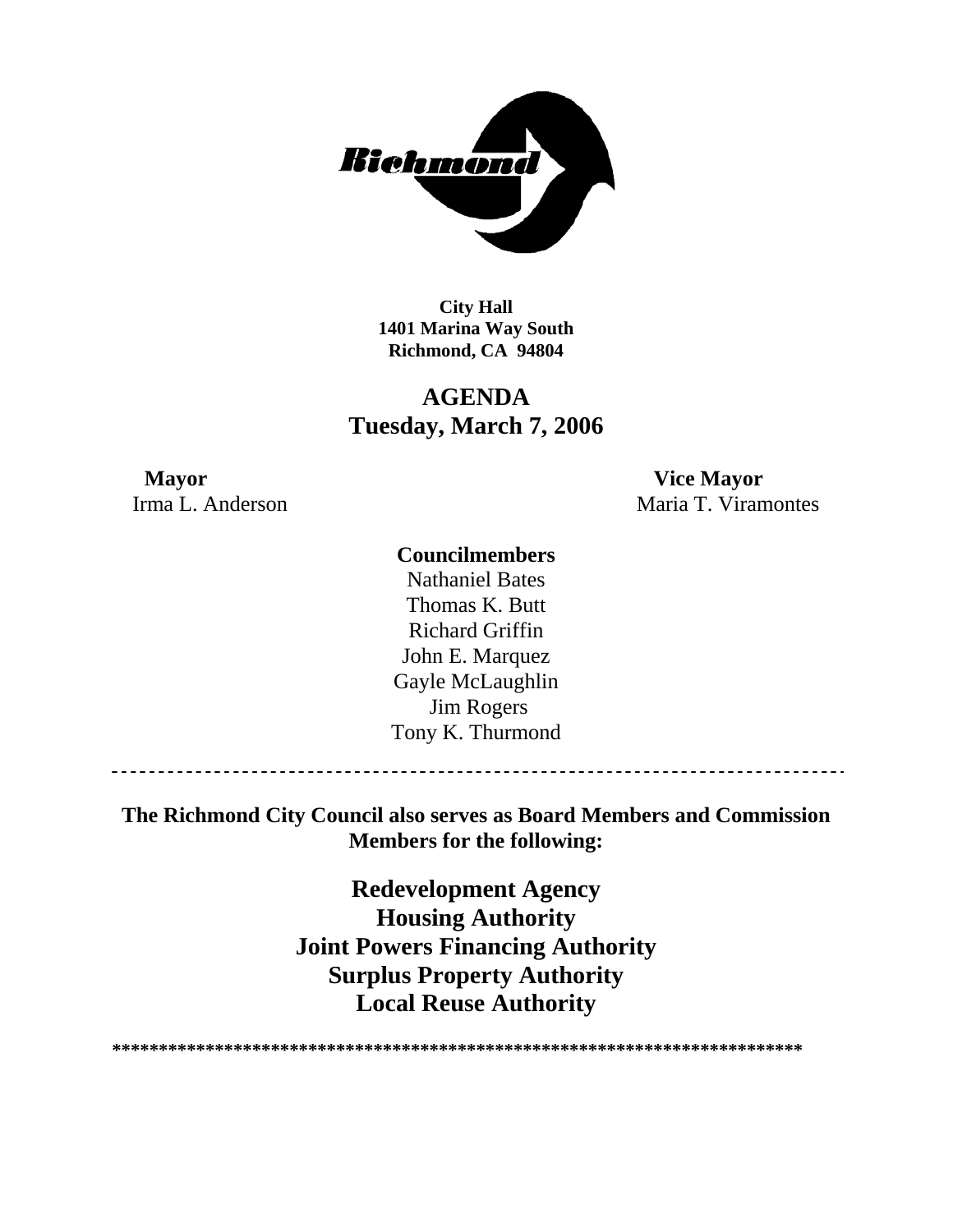

**City Hall 1401 Marina Way South Richmond, CA 94804** 

# **AGENDA Tuesday, March 7, 2006**

# **Mayor Vice Mayor**

Irma L. Anderson Maria T. Viramontes

## **Councilmembers**

Nathaniel Bates Thomas K. Butt Richard Griffin John E. Marquez Gayle McLaughlin Jim Rogers Tony K. Thurmond

\_\_\_\_\_\_\_\_\_\_\_\_\_\_\_\_\_\_\_\_\_\_\_\_\_\_

**The Richmond City Council also serves as Board Members and Commission Members for the following:** 

> **Redevelopment Agency Housing Authority Joint Powers Financing Authority Surplus Property Authority Local Reuse Authority**

**\*\*\*\*\*\*\*\*\*\*\*\*\*\*\*\*\*\*\*\*\*\*\*\*\*\*\*\*\*\*\*\*\*\*\*\*\*\*\*\*\*\*\*\*\*\*\*\*\*\*\*\*\*\*\*\*\*\*\*\*\*\*\*\*\*\*\*\*\*\*\*\*\*\***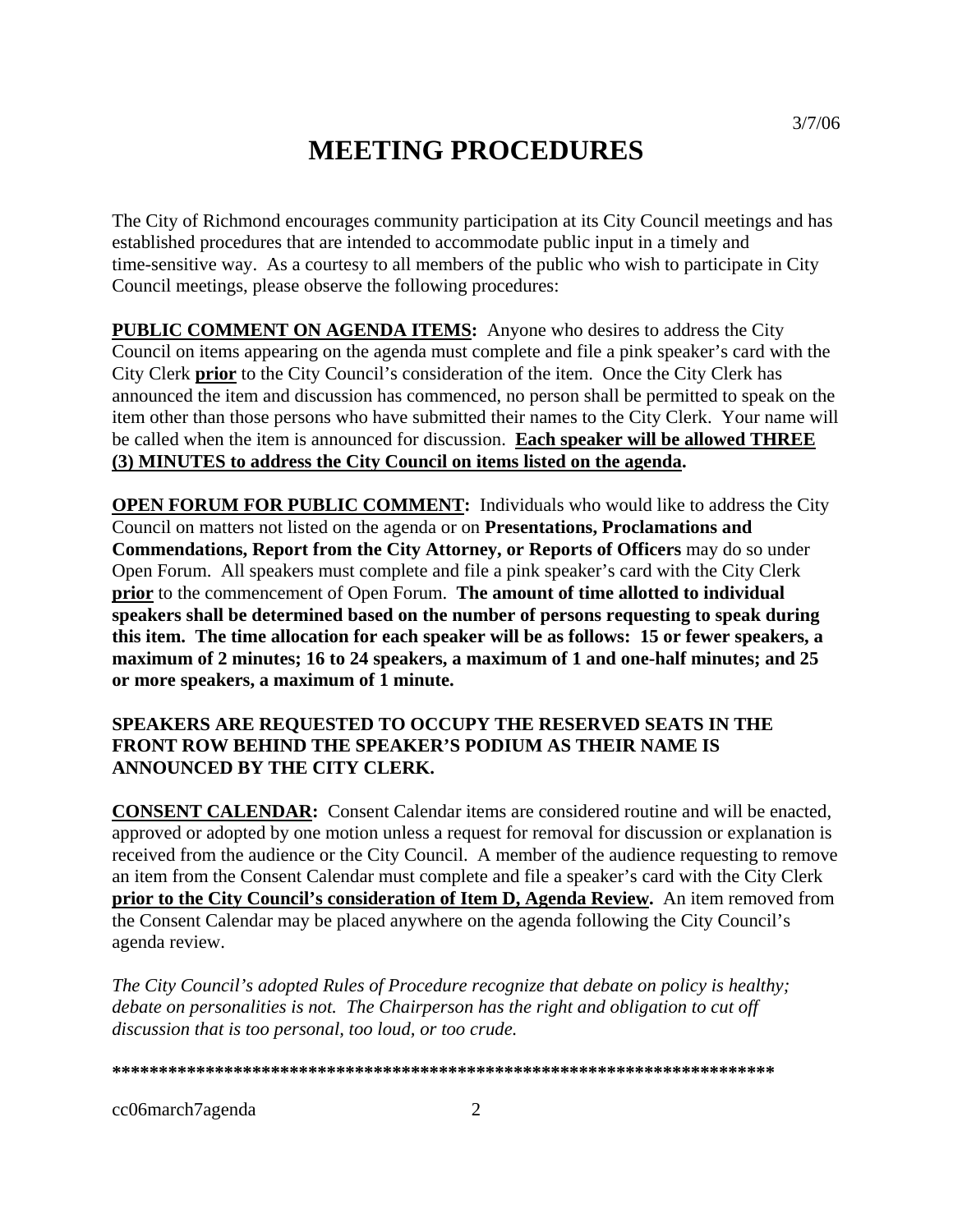# **MEETING PROCEDURES**

The City of Richmond encourages community participation at its City Council meetings and has established procedures that are intended to accommodate public input in a timely and time-sensitive way. As a courtesy to all members of the public who wish to participate in City Council meetings, please observe the following procedures:

**PUBLIC COMMENT ON AGENDA ITEMS:** Anyone who desires to address the City Council on items appearing on the agenda must complete and file a pink speaker's card with the City Clerk **prior** to the City Council's consideration of the item. Once the City Clerk has announced the item and discussion has commenced, no person shall be permitted to speak on the item other than those persons who have submitted their names to the City Clerk. Your name will be called when the item is announced for discussion. **Each speaker will be allowed THREE (3) MINUTES to address the City Council on items listed on the agenda.** 

**OPEN FORUM FOR PUBLIC COMMENT:** Individuals who would like to address the City Council on matters not listed on the agenda or on **Presentations, Proclamations and Commendations, Report from the City Attorney, or Reports of Officers** may do so under Open Forum. All speakers must complete and file a pink speaker's card with the City Clerk **prior** to the commencement of Open Forum. **The amount of time allotted to individual speakers shall be determined based on the number of persons requesting to speak during this item. The time allocation for each speaker will be as follows: 15 or fewer speakers, a maximum of 2 minutes; 16 to 24 speakers, a maximum of 1 and one-half minutes; and 25 or more speakers, a maximum of 1 minute.** 

### **SPEAKERS ARE REQUESTED TO OCCUPY THE RESERVED SEATS IN THE FRONT ROW BEHIND THE SPEAKER'S PODIUM AS THEIR NAME IS ANNOUNCED BY THE CITY CLERK.**

**CONSENT CALENDAR:** Consent Calendar items are considered routine and will be enacted, approved or adopted by one motion unless a request for removal for discussion or explanation is received from the audience or the City Council. A member of the audience requesting to remove an item from the Consent Calendar must complete and file a speaker's card with the City Clerk **prior to the City Council's consideration of Item D, Agenda Review.** An item removed from the Consent Calendar may be placed anywhere on the agenda following the City Council's agenda review.

*The City Council's adopted Rules of Procedure recognize that debate on policy is healthy; debate on personalities is not. The Chairperson has the right and obligation to cut off discussion that is too personal, too loud, or too crude.* 

**\*\*\*\*\*\*\*\*\*\*\*\*\*\*\*\*\*\*\*\*\*\*\*\*\*\*\*\*\*\*\*\*\*\*\*\*\*\*\*\*\*\*\*\*\*\*\*\*\*\*\*\*\*\*\*\*\*\*\*\*\*\*\*\*\*\*\*\*\*\*\*** 

cc06march7agenda 2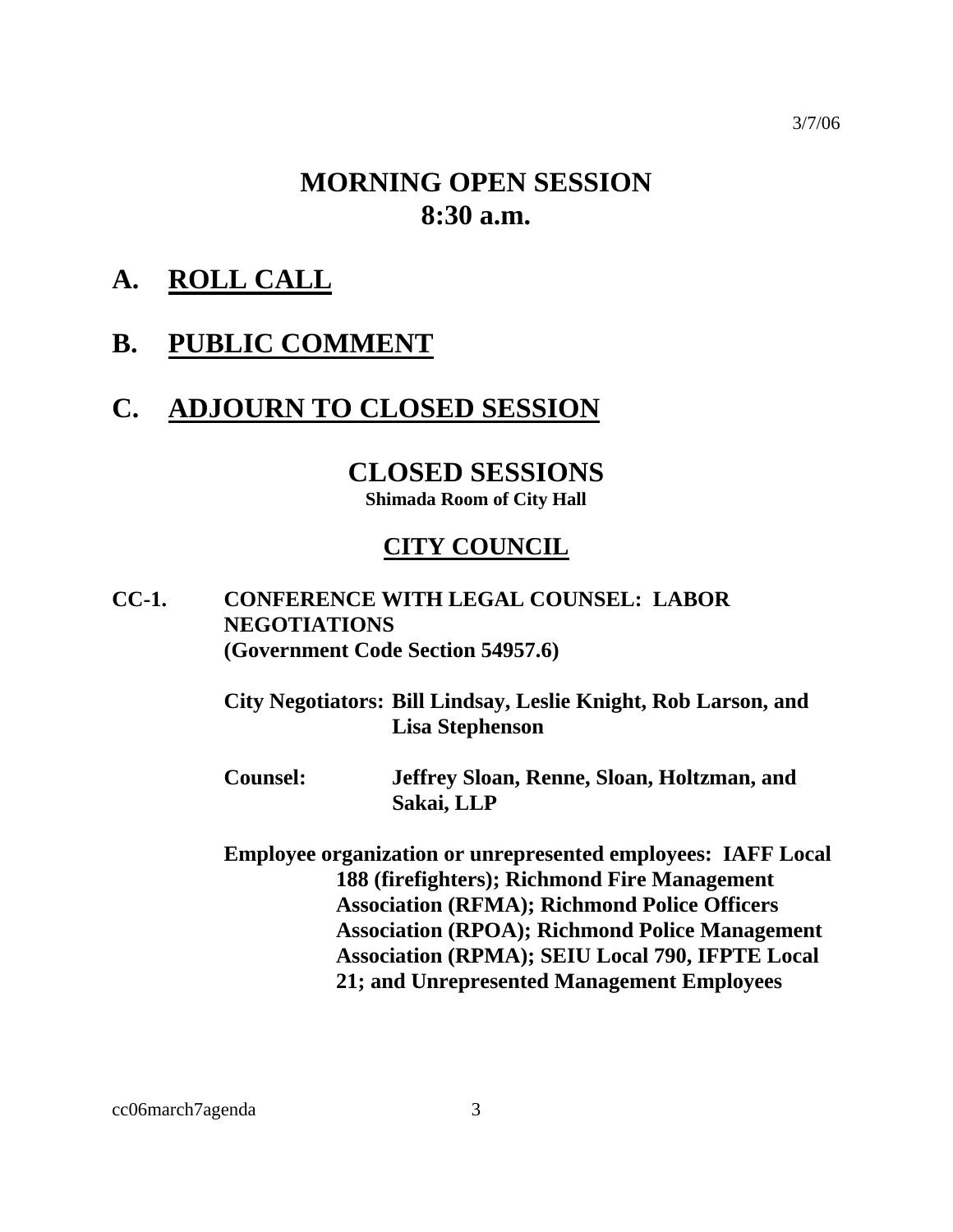# **MORNING OPEN SESSION 8:30 a.m.**

**A. ROLL CALL**

# **B. PUBLIC COMMENT**

# **C. ADJOURN TO CLOSED SESSION**

# **CLOSED SESSIONS**

**Shimada Room of City Hall** 

# **CITY COUNCIL**

# **CC-1. CONFERENCE WITH LEGAL COUNSEL: LABOR NEGOTIATIONS (Government Code Section 54957.6)**

**City Negotiators: Bill Lindsay, Leslie Knight, Rob Larson, and Lisa Stephenson** 

**Counsel: Jeffrey Sloan, Renne, Sloan, Holtzman, and Sakai, LLP** 

**Employee organization or unrepresented employees: IAFF Local 188 (firefighters); Richmond Fire Management Association (RFMA); Richmond Police Officers Association (RPOA); Richmond Police Management Association (RPMA); SEIU Local 790, IFPTE Local 21; and Unrepresented Management Employees** 

3/7/06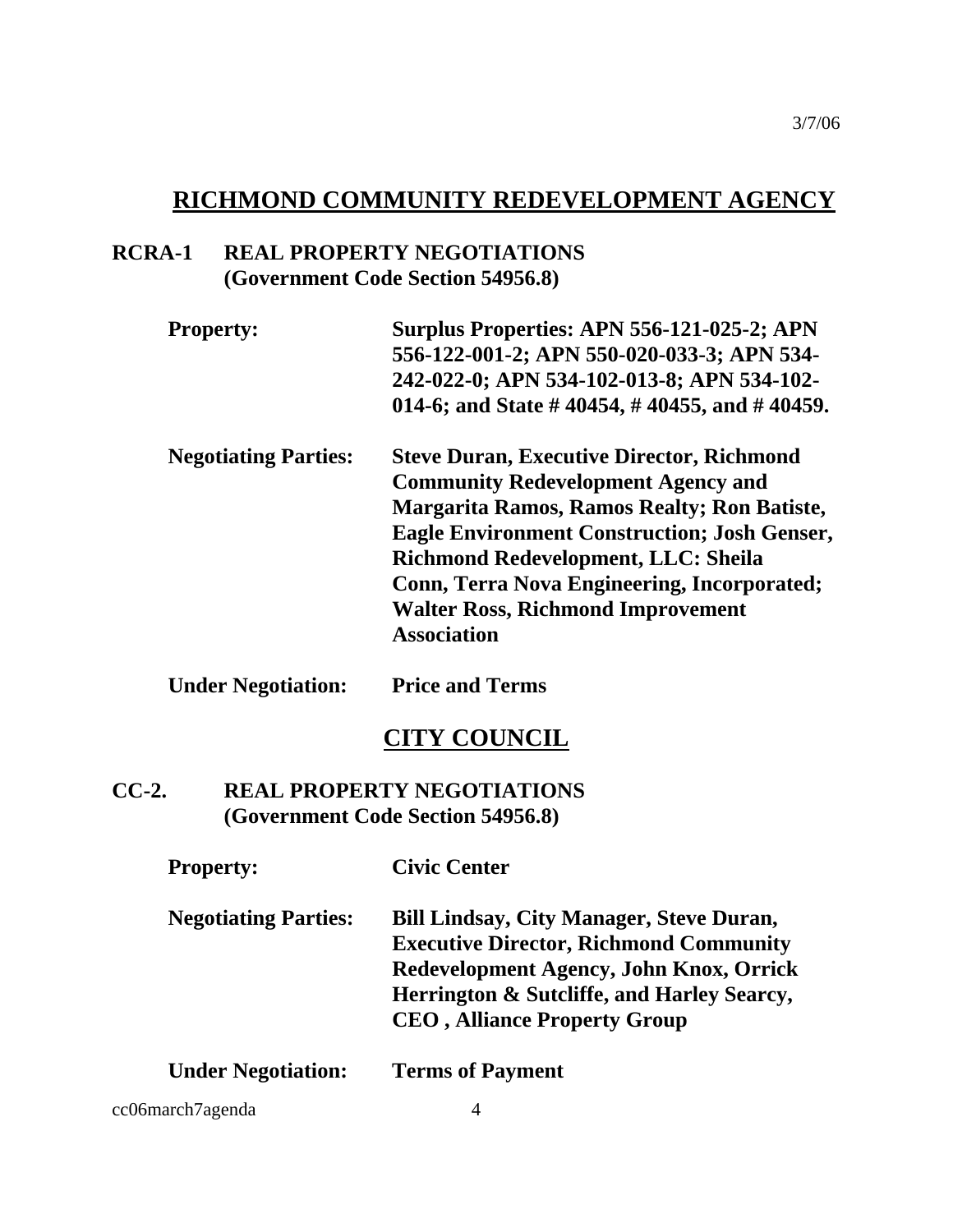# **RICHMOND COMMUNITY REDEVELOPMENT AGENCY**

# **RCRA-1 REAL PROPERTY NEGOTIATIONS (Government Code Section 54956.8)**

| <b>Property:</b>            | Surplus Properties: APN 556-121-025-2; APN          |
|-----------------------------|-----------------------------------------------------|
|                             | 556-122-001-2; APN 550-020-033-3; APN 534-          |
|                             | 242-022-0; APN 534-102-013-8; APN 534-102-          |
|                             | 014-6; and State #40454, #40455, and #40459.        |
| <b>Negotiating Parties:</b> | <b>Steve Duran, Executive Director, Richmond</b>    |
|                             | <b>Community Redevelopment Agency and</b>           |
|                             | <b>Margarita Ramos, Ramos Realty; Ron Batiste,</b>  |
|                             | <b>Eagle Environment Construction; Josh Genser,</b> |
|                             | <b>Richmond Redevelopment, LLC: Sheila</b>          |
|                             | <b>Conn, Terra Nova Engineering, Incorporated;</b>  |

**Walter Ross, Richmond Improvement** 

**Association** 

# **Under Negotiation: Price and Terms**

# **CITY COUNCIL**

# **CC-2. REAL PROPERTY NEGOTIATIONS (Government Code Section 54956.8)**

| <b>Property:</b>            | <b>Civic Center</b>                                                                                                                                                                                                               |
|-----------------------------|-----------------------------------------------------------------------------------------------------------------------------------------------------------------------------------------------------------------------------------|
| <b>Negotiating Parties:</b> | <b>Bill Lindsay, City Manager, Steve Duran,</b><br><b>Executive Director, Richmond Community</b><br>Redevelopment Agency, John Knox, Orrick<br>Herrington & Sutcliffe, and Harley Searcy,<br><b>CEO</b> , Alliance Property Group |
|                             |                                                                                                                                                                                                                                   |

# **Under Negotiation: Terms of Payment**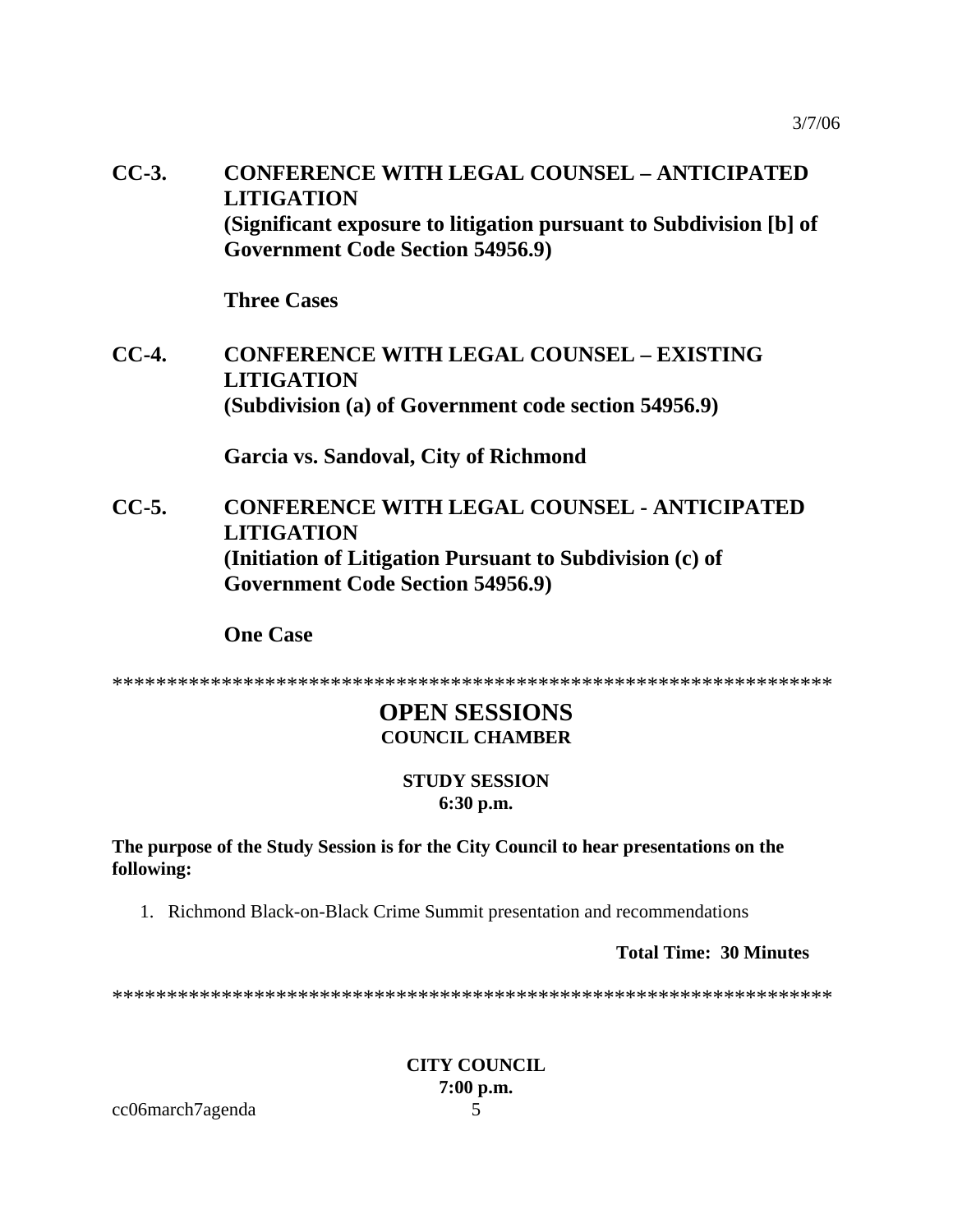**CC-3. CONFERENCE WITH LEGAL COUNSEL – ANTICIPATED LITIGATION (Significant exposure to litigation pursuant to Subdivision [b] of Government Code Section 54956.9)** 

 **Three Cases** 

**CC-4. CONFERENCE WITH LEGAL COUNSEL – EXISTING LITIGATION (Subdivision (a) of Government code section 54956.9)** 

 **Garcia vs. Sandoval, City of Richmond** 

**CC-5. CONFERENCE WITH LEGAL COUNSEL - ANTICIPATED LITIGATION (Initiation of Litigation Pursuant to Subdivision (c) of Government Code Section 54956.9)** 

 **One Case** 

\*\*\*\*\*\*\*\*\*\*\*\*\*\*\*\*\*\*\*\*\*\*\*\*\*\*\*\*\*\*\*\*\*\*\*\*\*\*\*\*\*\*\*\*\*\*\*\*\*\*\*\*\*\*\*\*\*\*\*\*\*\*\*\*\*\*

## **OPEN SESSIONS COUNCIL CHAMBER**

## **STUDY SESSION 6:30 p.m.**

**The purpose of the Study Session is for the City Council to hear presentations on the following:** 

1. Richmond Black-on-Black Crime Summit presentation and recommendations

**Total Time: 30 Minutes** 

\*\*\*\*\*\*\*\*\*\*\*\*\*\*\*\*\*\*\*\*\*\*\*\*\*\*\*\*\*\*\*\*\*\*\*\*\*\*\*\*\*\*\*\*\*\*\*\*\*\*\*\*\*\*\*\*\*\*\*\*\*\*\*\*\*\*

**CITY COUNCIL 7:00 p.m.** 

cc06march7agenda 5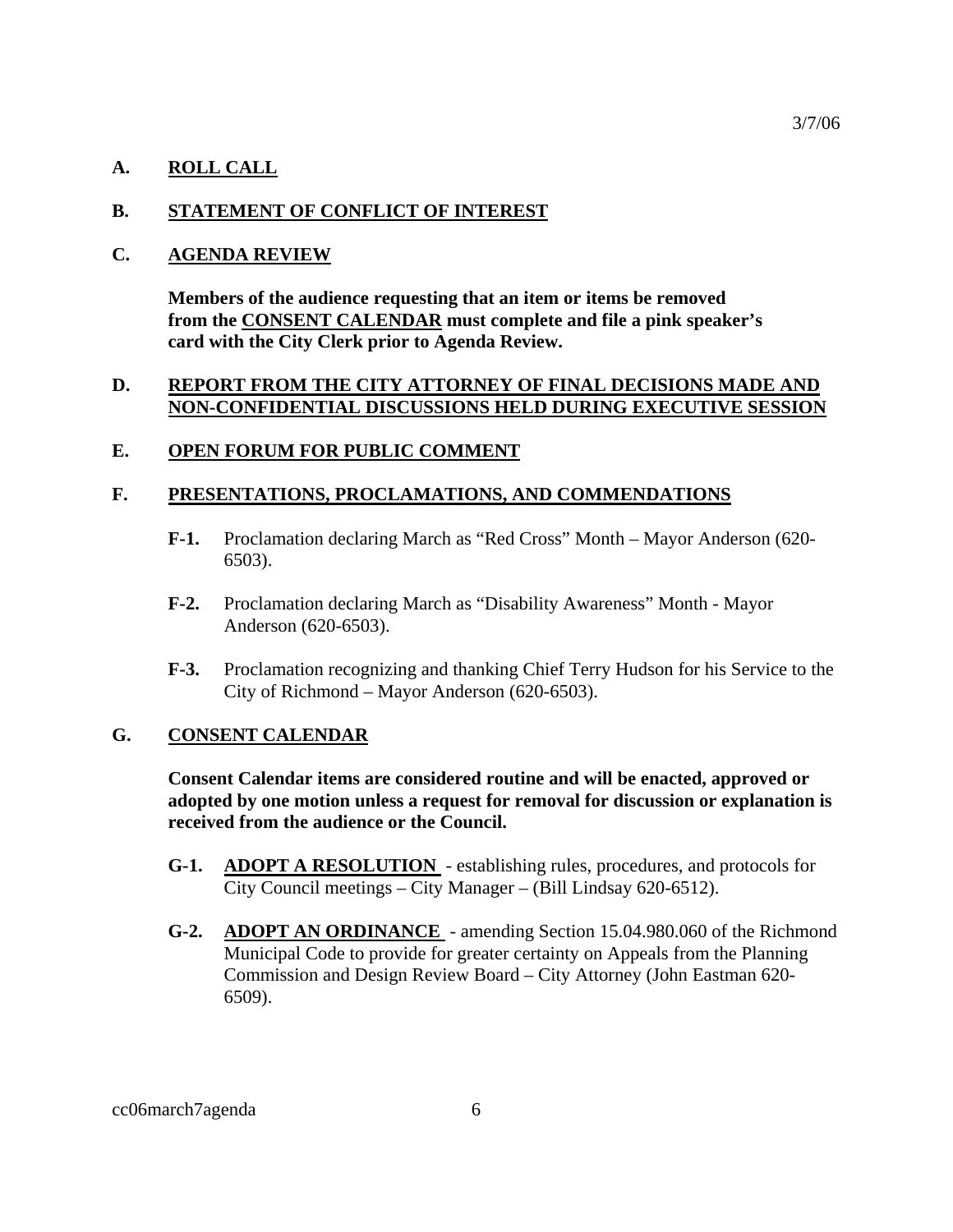#### **A. ROLL CALL**

#### **B. STATEMENT OF CONFLICT OF INTEREST**

#### **C. AGENDA REVIEW**

 **Members of the audience requesting that an item or items be removed from the CONSENT CALENDAR must complete and file a pink speaker's card with the City Clerk prior to Agenda Review.** 

#### **D. REPORT FROM THE CITY ATTORNEY OF FINAL DECISIONS MADE AND NON-CONFIDENTIAL DISCUSSIONS HELD DURING EXECUTIVE SESSION**

#### **E. OPEN FORUM FOR PUBLIC COMMENT**

#### **F. PRESENTATIONS, PROCLAMATIONS, AND COMMENDATIONS**

- **F-1.** Proclamation declaring March as "Red Cross" Month Mayor Anderson (620- 6503).
- **F-2.** Proclamation declaring March as "Disability Awareness" Month Mayor Anderson (620-6503).
- **F-3.** Proclamation recognizing and thanking Chief Terry Hudson for his Service to the City of Richmond – Mayor Anderson (620-6503).

#### **G. CONSENT CALENDAR**

**Consent Calendar items are considered routine and will be enacted, approved or adopted by one motion unless a request for removal for discussion or explanation is received from the audience or the Council.** 

- **G-1. ADOPT A RESOLUTION**  establishing rules, procedures, and protocols for City Council meetings – City Manager – (Bill Lindsay 620-6512).
- **G-2. ADOPT AN ORDINANCE**  amending Section 15.04.980.060 of the Richmond Municipal Code to provide for greater certainty on Appeals from the Planning Commission and Design Review Board – City Attorney (John Eastman 620- 6509).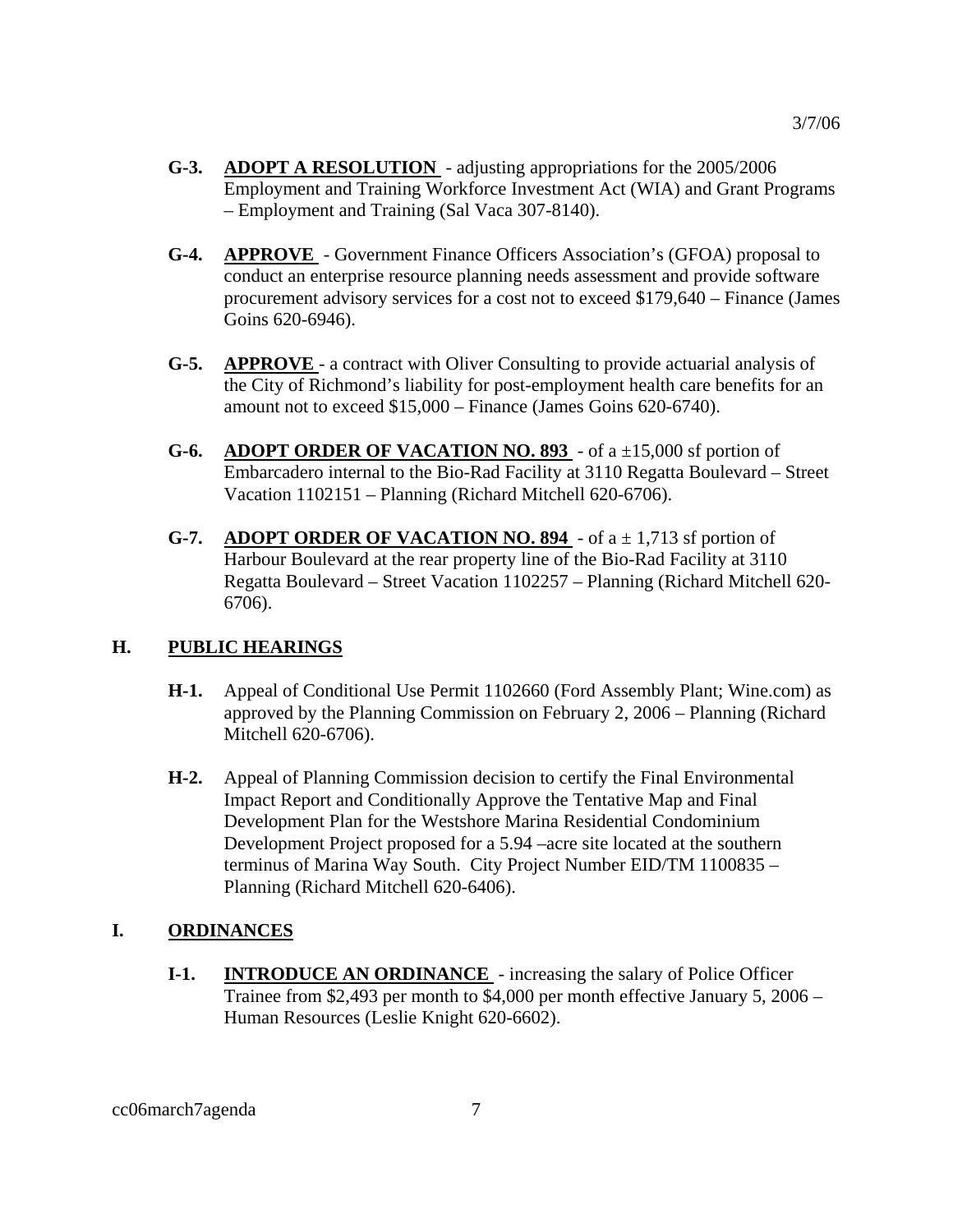- **G-3. ADOPT A RESOLUTION**  adjusting appropriations for the 2005/2006 Employment and Training Workforce Investment Act (WIA) and Grant Programs – Employment and Training (Sal Vaca 307-8140).
- **G-4. APPROVE**  Government Finance Officers Association's (GFOA) proposal to conduct an enterprise resource planning needs assessment and provide software procurement advisory services for a cost not to exceed \$179,640 – Finance (James Goins 620-6946).
- **G-5. APPROVE**  a contract with Oliver Consulting to provide actuarial analysis of the City of Richmond's liability for post-employment health care benefits for an amount not to exceed \$15,000 – Finance (James Goins 620-6740).
- **G-6. ADOPT ORDER OF VACATION NO. 893**  of a ±15,000 sf portion of Embarcadero internal to the Bio-Rad Facility at 3110 Regatta Boulevard – Street Vacation 1102151 – Planning (Richard Mitchell 620-6706).
- **G-7. ADOPT ORDER OF VACATION NO. 894** of  $a \pm 1,713$  sf portion of Harbour Boulevard at the rear property line of the Bio-Rad Facility at 3110 Regatta Boulevard – Street Vacation 1102257 – Planning (Richard Mitchell 620- 6706).

## **H. PUBLIC HEARINGS**

- **H-1.** Appeal of Conditional Use Permit 1102660 (Ford Assembly Plant; Wine.com) as approved by the Planning Commission on February 2, 2006 – Planning (Richard Mitchell 620-6706).
- **H-2.** Appeal of Planning Commission decision to certify the Final Environmental Impact Report and Conditionally Approve the Tentative Map and Final Development Plan for the Westshore Marina Residential Condominium Development Project proposed for a 5.94 –acre site located at the southern terminus of Marina Way South. City Project Number EID/TM 1100835 – Planning (Richard Mitchell 620-6406).

## **I. ORDINANCES**

**I-1. INTRODUCE AN ORDINANCE** - increasing the salary of Police Officer Trainee from \$2,493 per month to \$4,000 per month effective January 5, 2006 – Human Resources (Leslie Knight 620-6602).